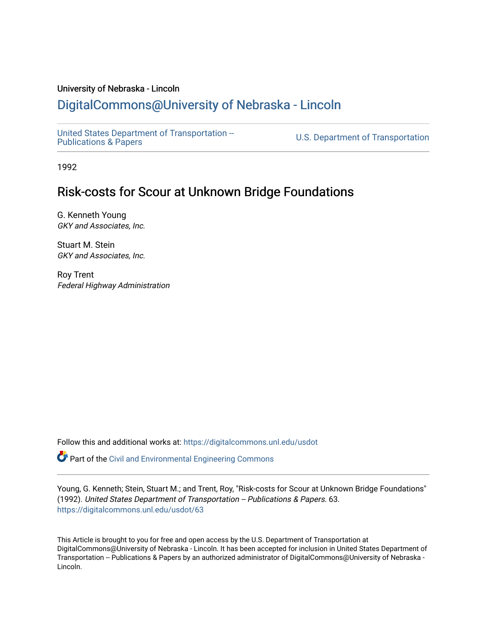# University of Nebraska - Lincoln

# [DigitalCommons@University of Nebraska - Lincoln](https://digitalcommons.unl.edu/)

[United States Department of Transportation --](https://digitalcommons.unl.edu/usdot)<br>Publications & Papers

U.S. Department of Transportation

1992

# Risk-costs for Scour at Unknown Bridge Foundations

G. Kenneth Young GKY and Associates, Inc.

Stuart M. Stein GKY and Associates, Inc.

Roy Trent Federal Highway Administration

Follow this and additional works at: [https://digitalcommons.unl.edu/usdot](https://digitalcommons.unl.edu/usdot?utm_source=digitalcommons.unl.edu%2Fusdot%2F63&utm_medium=PDF&utm_campaign=PDFCoverPages) 

**P** Part of the [Civil and Environmental Engineering Commons](http://network.bepress.com/hgg/discipline/251?utm_source=digitalcommons.unl.edu%2Fusdot%2F63&utm_medium=PDF&utm_campaign=PDFCoverPages)

Young, G. Kenneth; Stein, Stuart M.; and Trent, Roy, "Risk-costs for Scour at Unknown Bridge Foundations" (1992). United States Department of Transportation -- Publications & Papers. 63. [https://digitalcommons.unl.edu/usdot/63](https://digitalcommons.unl.edu/usdot/63?utm_source=digitalcommons.unl.edu%2Fusdot%2F63&utm_medium=PDF&utm_campaign=PDFCoverPages)

This Article is brought to you for free and open access by the U.S. Department of Transportation at DigitalCommons@University of Nebraska - Lincoln. It has been accepted for inclusion in United States Department of Transportation -- Publications & Papers by an authorized administrator of DigitalCommons@University of Nebraska -Lincoln.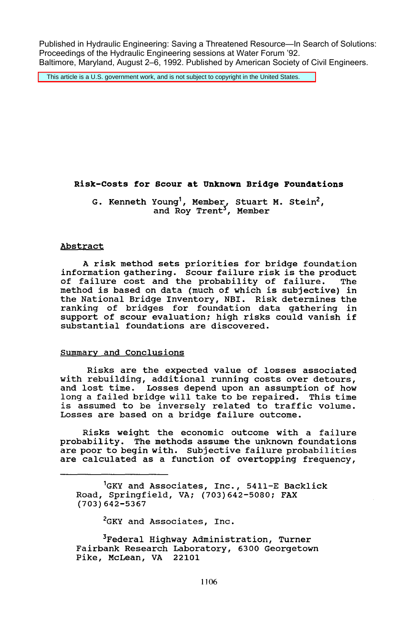Published in Hydraulic Engineering: Saving a Threatened Resource—In Search of Solutions: Proceedings of the Hydraulic Engineering sessions at Water Forum '92. Baltimore, Maryland, August 2–6, 1992. Published by American Society of Civil Engineers.

This article is a U.S. government work, and is not subject to copyright in the United States.

# **Risk-costs for Scour at Unknown Bridge Foundations**

G. Kenneth Young<sup>1</sup>, Member<sub>,</sub> Stuart M. Stein<sup>2</sup>, and Roy Trent<sup>3</sup>, Member

#### Abstract

A risk method sets priorities for bridge foundation information gathering. Scour failure risk is the product of failure cost and the probability of failure. The method is based on data (much of which is subjective) in the National Bridge Inventory, NBI. Risk determines the ranking of bridges for foundation data gathering in support of scour evaluation; high risks could vanish if substantial foundations are discovered.

# Summary and Conclusions

Risks are the expected value of losses associated with rebuilding, additional running costs over detours, and lost time. Losses depend upon an assumption of how long a failed bridge will take to be repaired. This time is assumed to be inversely related to traffic volume. Losses are based on a bridge failure outcome.

Risks weight the economic outcome with a failure probability. The methods assume the unknown foundations are poor to begin with. Subjective failure probabilities are calculated as a function of overtopping frequency,

'GKY and Associates, Inc., 5411-E Backlick Road, Springfield, VA; (703)642-5080; FAX (703) 642-5367

<sup>2</sup>GKY and Associates, Inc.

<sup>3</sup>Federal Highway Administration, Turner Fairbank Research Laboratory, 6300 Georgetown Pike, McLean, VA 22101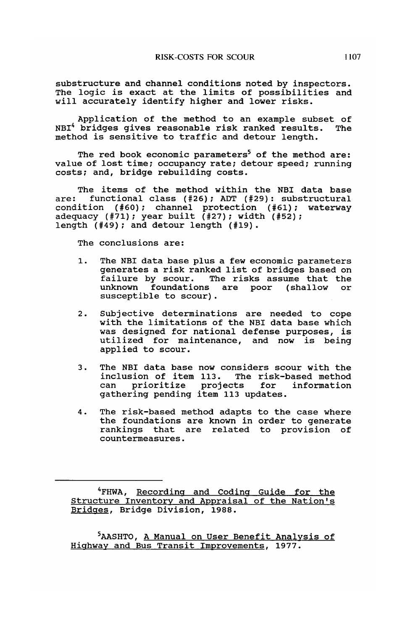substructure and channel conditions noted by inspectors. The logic is exact at the limits of possibilities and will accurately identify higher and lower risks.

Application of the method to an example subset of bridges gives reasonable risk ranked results. The NBI<sup>4</sup> bridges gives reasonable risk ranked results. method is sensitive to traffic and detour length.

The red book economic parameters<sup>5</sup> of the method are: value of lost time; occupancy rate; detour speed; running costs; and, bridge rebuilding costs.

The items of the method within the NBI data base<br>are: functional class  $(\#26)$ : ADT  $(\#29)$ : substructural functional class (#26); ADT (#29): substructural condition (#60); channel protection (#61); waterway adequacy (#71); year built (#27); width (#52); length (#49); and detour length (#19).

The conclusions are:

- 1. The NBI data base plus a few economic parameters generates a risk ranked list of bridges based on failure by scour. The risks assume that the unknown foundations are poor (shallow or susceptible to scour).
- 2. Subjective determinations are needed to cope with the limitations of the NBI data base which was designed for national defense purposes, is utilized for maintenance, and now is being applied to scour.
- 3. The NBI data base now considers scour with the inclusion of item 113. The risk-based method can prioritize projects gathering pending item 113 updates.
- 4. The risk-based method adapts to the case where the foundations are known in order to generate rankings that are related to provision of countermeasures.

<sup>4</sup>FHWA, Recording and Coding Guide for the Structure Inventory and Appraisal of the Nation's Bridges, Bridge Division, 1988.

<sup>2</sup>AASHTO, <u>A Manual on User Benefit Analysis of</u> Highway and Bus Transit Improvements, 1977.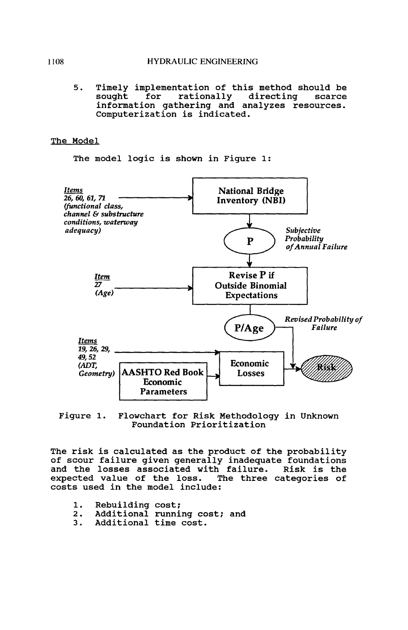5. Timely implementation of this method should be information gathering and analyzes resources.<br>Computerization is indicated.

### The Model

The model logic is shown in Figure 1:





The risk is calculated as the product of the probability of scour failure given generally inadequate foundations and the losses associated with failure. Risk is the expected value of the loss. The three categories of costs used in the model include:

- 1. Rebuilding cost;<br>2. Additional runni
- 2. Additional running cost; and<br>3. Additional time cost.
- Additional time cost.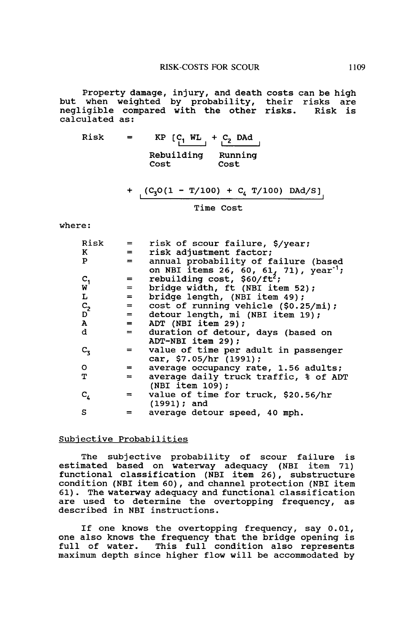Property damage, injury, and death costs can be high but when weighted by probability, their risks are negligible compared with the other risks. Risk is calculated as:

Risk =  $KP$   $\begin{bmatrix} C_1 & WL \ 1 & \end{bmatrix} + \begin{bmatrix} C_2 & DAd \ 2 & \end{bmatrix}$ Rebuilding Running Cost Cost

+ 
$$
(C_3O(1 - T/100) + C_4 T/100)
$$
 DAd/S]

Time Cost

where:

| Risk                 | $=$                | risk of scour failure, \$/year;                    |
|----------------------|--------------------|----------------------------------------------------|
| K                    | $=$                | risk adjustment factor;                            |
| P                    | $=$                | annual probability of failure (based               |
|                      |                    | on NBI items 26, 60, 61, 71), year <sup>-1</sup> ; |
|                      | $=$                | rebuilding cost, $$60/ft^2$ ;                      |
| $\frac{C_1}{W}$      | $=$                | bridge width, ft (NBI item 52);                    |
| г                    | $=$                | bridge length, (NBI item 49);                      |
|                      | $=$                | cost of running vehicle (\$0.25/mi);               |
| $C_2$                | $=$                | detour length, mi (NBI item 19);                   |
| $\, {\bf A} \,$      | $=$                | ADT (NBI item 29);                                 |
| d                    | $=$                | duration of detour, days (based on                 |
|                      |                    | ADT-NBI item 29);                                  |
| $c_{3}$              | $=$ $\overline{ }$ | value of time per adult in passenger               |
|                      |                    | car, \$7.05/hr (1991);                             |
| O                    | $=$                | average occupancy rate, 1.56 adults;               |
| т                    | $=$                | average daily truck traffic, % of ADT              |
|                      |                    | (NBI item 109);                                    |
| $\mathtt{c}_{\iota}$ | $=$                | value of time for truck, \$20.56/hr                |
|                      |                    | $(1991)$ ; and                                     |
| s                    | =                  | average detour speed, 40 mph.                      |
|                      |                    |                                                    |

## Subjective Probabilities

The subjective probability of scour failure is estimated based on waterway adequacy (NBI item 71) functional classification (NBI item 26), substructure condition (NBI item 60), and channel protection (NBI item 61). The waterway adequacy and functional classification are used to determine the overtopping frequency, as described in NBI instructions.

If one knows the overtopping frequency, say 0.01, one also knows the frequency that the bridge opening is full of water. This full condition also represents maximum depth since higher flow will be accommodated by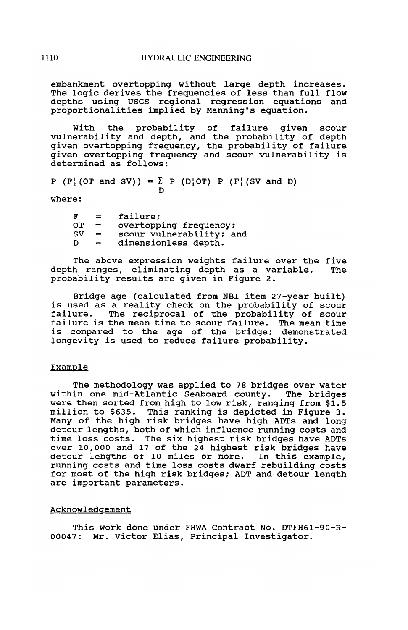embankment overtopping without large depth increases. The logic derives the frequencies of less than full flow depths using USGS regional regression equations and proportionalities implied by Manning's equation.

with the probability of failure given scour vulnerability and depth, and the probability of depth given overtopping frequency, the probability of failure given overtopping frequency and scour vulnerability is determined as follows:

 $P (F | (OT and SV)) = \sum_{D} P (D | OT) P (F | (SV and D))$ 

where:

| F  | $=$ | failure;                 |
|----|-----|--------------------------|
| OТ | $=$ | overtopping frequency;   |
| sv | $=$ | scour vulnerability; and |
| D  | $=$ | dimensionless depth.     |

The above expression weights failure over the five<br>h ranges, eliminating depth as a variable. The depth ranges, eliminating depth as a variable. probability results are given in Figure 2.

Bridge age (calculated from NBI item 27-year built) is used as a reality check on the probability of scour failure. The reciprocal of the probability of scour failure is the mean time to scour failure. The mean time<br>failure is the mean time to scour failure. The mean time is compared to the age of the bridge; demonstrated longevity is used to reduce failure probability.

## Example

The methodology was applied to 78 bridges over water within one mid-Atlantic Seaboard county. The bridges were then sorted from high to low risk, ranging from \$1.5 million to \$635. This ranking is depicted in Figure 3. Many of the high risk bridges have high ADTs and long detour lengths, both of which influence running costs and time loss costs. The six highest risk bridges have ADTs over 10,000 and 17 of the 24 highest risk bridges have detour lengths of 10 miles or more. In this example, running costs and time loss costs dwarf rebuilding costs for most of the high risk bridges; ADT and detour length are important parameters.

### Acknowledgement

This work done under FHWA Contract No. DTFH61-90-R-00047: Mr. Victor Elias, Principal Investigator.